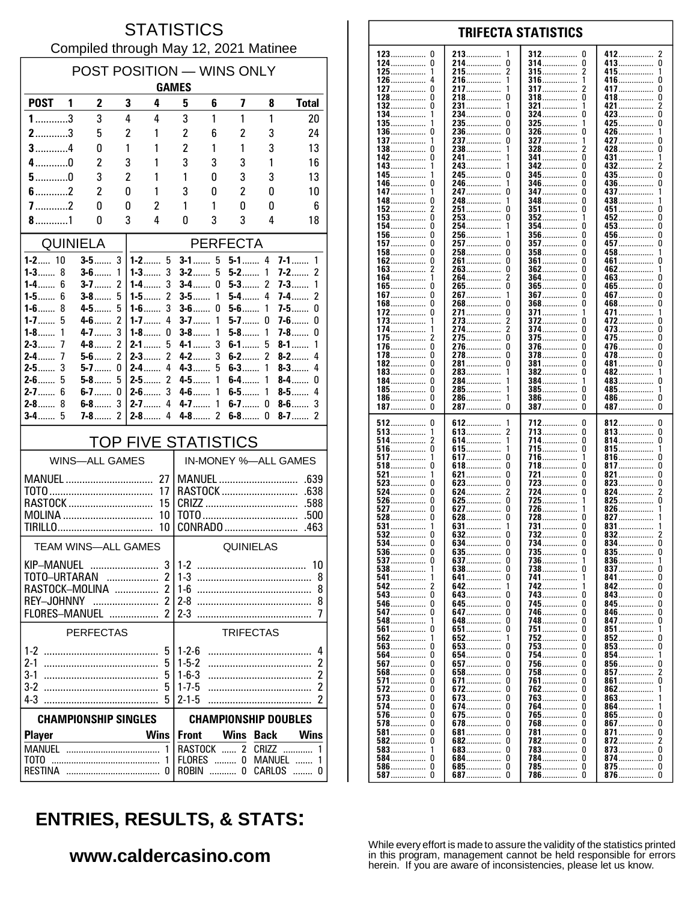### **STATISTICS** Compiled through May 12, 2021 Matinee

| POST POSITION — WINS ONLY         |        |                       |                          |                                  |                             |          |                     |                  |                                   |  |  |
|-----------------------------------|--------|-----------------------|--------------------------|----------------------------------|-----------------------------|----------|---------------------|------------------|-----------------------------------|--|--|
|                                   |        |                       |                          |                                  | <b>GAMES</b>                |          |                     |                  |                                   |  |  |
| <b>POST</b>                       | - 1    | 2                     | 3                        | 4                                | 5                           | 6        | 7                   | 8                | <b>Total</b>                      |  |  |
| $1$ 3                             |        | 3                     | 4                        | 4                                | 3                           | 1        | 1                   | 1                | 20                                |  |  |
| $2$ 3                             |        | 5                     | $\overline{c}$           | 1                                | $\overline{c}$              | 6        | 2                   | 3                | 24                                |  |  |
| $3$ 4                             |        | 0                     | 1                        | 1                                | $\overline{c}$              | 1        | 1                   | 3                | 13                                |  |  |
| $4$ 0                             |        | 2                     | 3                        | 1                                | 3                           | 3        | 3                   | 1                | 16                                |  |  |
| $5$ 0                             |        | 3                     | $\overline{c}$           | 1                                | 1<br>3                      | 0        | 3                   | 3                | 13                                |  |  |
| $7$ 2                             |        | 2<br>0                | 0<br>0                   | 1<br>2                           | 1                           | 0<br>1   | $\overline{2}$<br>0 | 0<br>0           | 10<br>6                           |  |  |
|                                   |        | 0                     | 3                        | 4                                | 0                           | 3        | 3                   | 4                | 18                                |  |  |
| <b>QUINIELA</b>                   |        |                       |                          |                                  |                             |          |                     |                  |                                   |  |  |
|                                   |        |                       |                          | <b>PERFECTA</b>                  |                             |          |                     |                  |                                   |  |  |
| $1 - 2$ 10<br>$1 - 3$<br>8        |        | $3-5$<br>$3 - 6$      | 3<br>1                   | $1 - 2$ 5<br>$1 - 3$<br>3        | $3-1$<br>$3-2$              | 5<br>5   | $5 - 1$ 4<br>$5-2$  | 1                | $7-1$<br>1<br>2<br>7-2            |  |  |
| 1-4……                             | 6      | $3 - 7$               | 2                        | 3<br>1-4……                       | <b>3-4</b>                  | 0        | $5-3$               | 2                | 7-3……<br>1                        |  |  |
| $1 - 5$                           | 6      | $3-8$                 | 5                        | 2<br>1-5 $\dots$                 | $3-5$                       | 1        | $5-4$               | 4                | $\overline{\mathcal{C}}$<br>7-4…… |  |  |
| $1-6$<br>$1 - 7$                  | 8<br>5 | $4 - 5$<br>$4 - 6$    | 5<br>2                   | $1-6$<br>3<br>$1 - 7$<br>4       | $3-6$<br>$3 - 7$            | 0<br>1   | $5-6$<br>$5-7$      | 1<br>0           | $7 - 5$<br>0<br>$7-6$<br>0        |  |  |
| $1 - 8$                           | 1      | 4-7                   | 3                        | $1-8$<br>0                       | $3-8$                       | 1        | $5-8$               | 1                | 7-8<br>0                          |  |  |
| 7<br>$2 - 3$                      |        | $4-8$                 | 2                        | $2 - 1$<br>5                     | $4 - 1$                     | 3        | $6-1$               | 5                | $8-1$<br>1                        |  |  |
| $2-4$                             | 7      | $5-6$                 | $\overline{\phantom{a}}$ | $\mathfrak z$<br>$2-3$           | $4 - 2$                     | 3        | $6-2$               | 2                | 4<br>$8 - 2$                      |  |  |
| 3<br>$2-5$<br>$2-6$               | 5      | $5 - 7$<br>$5-8$      | 0<br>5                   | $2 - 4$<br>4<br>2<br>$2 - 5$     | $4 - 3$<br>4-5              | 5<br>1   | $6-3$<br>$6-4$      | 1<br>1           | $8-3$<br>4<br>$8-4$<br>0          |  |  |
| $2 - 7$<br>6                      |        | $6-7$                 | 0                        | 3<br>$2 - 6$                     | $4 - 6$                     | 1        | $6-5$               | 1                | 4<br>$8-5$                        |  |  |
| $2 - 8$                           | 8      | $6-8$                 | 3                        | 4<br>$2 - 7$                     | $4 - 7$                     | 1        | $6-7$               | 0                | $8-6$<br>3                        |  |  |
| $3-4$                             | 5      | $7-8$                 | 2                        | $2 - 8$<br>4                     | $4-8$                       | 2        | $6-8$               | 0                | $8-7$<br>2                        |  |  |
| <b>TOP FIVE STATISTICS</b>        |        |                       |                          |                                  |                             |          |                     |                  |                                   |  |  |
|                                   |        | <b>WINS-ALL GAMES</b> |                          |                                  |                             |          |                     |                  | IN-MONEY %-ALL GAMES              |  |  |
| MANUEL                            |        |                       |                          | 27                               |                             |          |                     | MANUEL           | .639                              |  |  |
|                                   |        |                       |                          | 17                               |                             |          |                     | RASTOCK          | .638                              |  |  |
| RASTOCK<br>15<br>MOLINA<br>10     |        |                       |                          | .588                             |                             |          |                     |                  |                                   |  |  |
|                                   |        |                       |                          | 10                               |                             |          |                     | CONRADO          | .463                              |  |  |
|                                   |        | TEAM WINS-ALL GAMES   |                          |                                  |                             |          | QUINIELAS           |                  |                                   |  |  |
|                                   |        |                       |                          |                                  |                             |          |                     |                  |                                   |  |  |
| <b>KIP-MANUEL</b><br>TOTO-URTARAN |        |                       |                          | 3 <sup>1</sup><br>$\overline{2}$ | $1 - 2$                     |          |                     |                  | 10<br>8                           |  |  |
| $\overline{2}$<br>RASTOCK-MOLINA  |        |                       |                          | 8                                |                             |          |                     |                  |                                   |  |  |
|                                   |        |                       |                          |                                  |                             |          |                     |                  | 8                                 |  |  |
| FLORES-MANUEL  2                  |        |                       |                          |                                  | $2-3$                       |          |                     |                  | 7                                 |  |  |
|                                   |        | PERFECTAS             |                          |                                  |                             |          | <b>TRIFECTAS</b>    |                  |                                   |  |  |
|                                   |        |                       |                          | 5                                | $1 - 2 - 6$                 |          |                     |                  | 4                                 |  |  |
|                                   |        |                       |                          | 5                                | $1 - 5 - 2$                 |          |                     |                  | 2                                 |  |  |
| $3-1$<br>$3-2$                    |        |                       |                          | 5<br>5                           | $1-6-3$<br>$1 - 7 - 5$      |          |                     |                  | $\overline{c}$<br>2               |  |  |
|                                   |        |                       |                          | 5                                | $2 - 1 - 5$                 |          |                     |                  | 2                                 |  |  |
| <b>CHAMPIONSHIP SINGLES</b>       |        |                       |                          |                                  | <b>CHAMPIONSHIP DOUBLES</b> |          |                     |                  |                                   |  |  |
| <b>Player</b>                     |        |                       |                          | <b>Wins</b>                      | <b>Front</b>                |          | Wins                | <b>Back</b>      | <b>Wins</b>                       |  |  |
|                                   |        |                       |                          | 1                                |                             |          |                     | RASTOCK  2 CRIZZ | 1                                 |  |  |
|                                   |        |                       |                          | 1                                |                             |          |                     | FLORES  0 MANUEL |                                   |  |  |
| RESTINA                           |        |                       |                          | 0                                |                             | ROBIN  0 |                     | CARLOS           | 0                                 |  |  |

#### 123  $\mathbf{0}$ 213 412  $\overline{2}$ 312 <sup>0</sup> 124  $\pmb{0}$ 214................  $\pmb{0}$ 314 ................ 0 413...............  $\overline{0}$ . . . . . . . . .  $215$ ................  $\overline{2}$  $315$ ................  $\overline{2}$ 125 1 415................ . . . . . . . . . . . . . . . 126  $\overline{a}$ 216. 1 316 1 416  $\mathbf{0}$ . . . . . . . . . . . . . . . . ............... ............... 127  $\Omega$ 217 317 417  $\Omega$ 2 . . . . . . . . . . . . . . . . . . . . . . . . . . . . . . . . . . . . . . . . . . . . . . . . . . . . . . . 128  $\Omega$ 218  $\Omega$ 318  $\Omega$ 418  $\Omega$ ž 132  $\Omega$ 231................ 321.................  $421$ 1 1 134.  $\Omega$  $\Omega$ ō  $234$ ................  $324$  ................  $423...$ 135. 235.................  $\Omega$ 325  $425$  $\mathbf 0$ 236  $\pmb{0}$ 326 426................ 136. 0  $\Omega$ . . . . . . . . . . . . . . . . . . . . . . . . . . . . . . ................ 137 237  $\Omega$ 327 427  $\Omega$ . . . . . . . . . . . . . . . . . . . . . . . . . . . . . 138  $\Omega$ 238 328 428  $\Omega$  $\mathbf{1}$ . . . . . . . . . . . . . 241................ n 142  $\Omega$  $341$  ................ 431 —  $\mathbf{1}$  $143.$ 243................ 342  $\Omega$  $\mathbf{1}$ . . . . . . . . . . . . . . .  $345$  $\overline{0}$ 245.  $\mathbf 0$  $\mathbf{0}$ 435.... 145. 346 0 436................ 146 246 . . . . . . . . . . . . . . . . . . . . . . . . . . . . . . . . . . . . . . . . . . . . 147 247  $\Omega$ 347 n 437 . . . . . . . . . . . . . . . . . . . . . . . . . . . . . . . . . . . . . . . . . . . 148 248 348 438................ 0 <sup>0</sup> . . . . . . . . . . . . . . . .............. . . . . . . . . . . . . . . . . 152  $\overline{2}$ 251 0 351 <sup>0</sup> 451 0 . . . . . . . . . . . . . . . . . . . . . . . . . . . . . . . . . . . . . . . . . 153  $\Omega$ 253  $\Omega$ 352 452  $\Omega$  $\mathbf{1}$ ŏ 254................ 354................ 154  $\Omega$  $453$ .......  $\mathbf{1}$ n  $156$ ................  $\mathbf 0$  $\mathbf 0$ 256.  $356$  $\Omega$  $456$  $157$ ................  $\Omega$ 257.  $\mathbf{0}$  $357$  .................  $457$  $\mathbf{0}$ ............... 458................  $\pmb{0}$ 158 0 258 358  $\Omega$ . . . . . . . . . . . . . . . . . . . . . . . . . . . . . . . . . . . . . . . . . . . . . . . . 461 162  $\Omega$ 261  $\Omega$ 361  $\Omega$  $\mathbf{0}$ . . . . . . . . . . . . . . . ............... . . . . . . . . . . . . . . . . . . . . . . . . . . . . . . . 163  $\overline{2}$ 263  $\Omega$ 362  $\Omega$ 462  $\overline{1}$ . . . . . . . . . . . . . . . . . . . . . . . . . . . . . . . . . . . . . . . . .  $\dot{0}$ 264................  $364$  ................ 164  $\overline{\phantom{a}}$  $\Omega$  $463...$  $\mathbf{1}$ 265................. 165................ ò ō ñ  $465$ ñ  $\mathbf 0$  $\overline{0}$  $\mathbf 0$  $267$ ................  $367$  ................  $467$ ............... 167.  $\mathbf{1}$ . . . . . . . . . . . . . . Ō  $\ddot{\mathbf{0}}$ Ō Ō 168 268 368 468 . . . . . . . . . . . . . . . . . . . . . . . . . . . . . . . . . . . . . . . . . . . . . . . . . . . . . . . . . . . . . 172.  $\mathbf{0}$ 271................  $\pmb{0}$ 371................ 471........  $\mathbf{1}$ . . . . . . . . . . . . . . 273  $\overline{a}$ 372  $\mathbf{0}$ 173 ŋ 472 . . . . . . . . . . . . . . . .............. . . . . . . . . . . . . . . . . . . . . . . . . . . . . . . . 174 274  $\overline{2}$ 374  $\Omega$ 473  $\pmb{0}$ . . . . . . . . . . . . . . . . . . . . . . . . . . . . . . . . . . . . . . . . . . . . . . . . . . . . . . . . . . . . .  $\Omega$ 175 2 275 375  $\Omega$ 475.  $\Omega$ . . . . . . . . . . . . . . . . . . . . . . . . . . . . . . . . . . . . . . . . . . . . . . . . . . . . . . . . . . . 476.......  $\Omega$ 376.  $\Omega$ 176. 276.  $\Omega$  $\Omega$ ŏ ŏ  $\Omega$ 278................  $\Omega$ 478  $178$ ................  $378$ 182................  $\Omega$ 281.................  $\Omega$ 381  $\theta$  $\mathbf{0}$  $481$ ................ . . . . . . . . . . . . . . . .  $183$ ................. 0 283 382 0  $482$ ................ . . . . . . . . . . . . . . . . . . . . . . . . . . . . . . . 184  $\Omega$ 284 384 483  $\Omega$ . . . . . . . . . . . . . . . . . . . . . . . . . . . . . . . . ............... ................  $485$ ................ 185  $\Omega$ 285 385  $\Omega$ . . . . . . . . . . . . . . . . . . . . . . . . . . . . . .  $\mathbf{1}$ . . . . . . . . . . . . . . 186.  $\Omega$ 286.  $386$ ................  $\Omega$ 486................  $\Omega$ . . . . . . . . . . . . . . . . . . . . . . . . . . . . . .  $\tilde{0}$  $\dot{0}$  $\tilde{0}$  $\Omega$ 187................ 287 — 287 387 387 512  $\mathbf 0$ 612 712  $\mathbf{0}$ 812........ 0 . . . . . . . . . . . . . . . . . . . . . . . . . . . 613.  $513$ ................  $\Omega$  $\pmb{0}$ 713 813................ . . . . . . . . . . . . . . . . 514 2 614  $\mathbf{1}$ 714  $\Omega$ 814 0 . . . . . . . . . . . . . . . . . . . . . . . . . . . . . . . . . . . . . . . . . . . . . . . . . . . . . . . . . . . . 516 0 615 715.  $\Omega$ 815  $\mathbf{1}$ . . . . . . . . . . . . . . . . . . . . . . . . . . . -1 . . . . . . . . . . . . . .  $\dot{0}$  $\dot{0}$ 517................ 617.................  $816$ ....... -1 716. 1  $518$ ................ 817.................  $\mathbf{0}$  $\Omega$  $618$ ................ 0  $718$ ................  $\Omega$ 521  $\pmb{0}$ 721  $\Omega$ 821  $\pmb{0}$ 621 . . . . . . . . . . . . . . . . . . . . . . . . . . . . . . ................  $823$ 523  $\Omega$ 623  $\pmb{0}$ 723  $\Omega$  $\pmb{0}$ . . . . . . . . . . . . . . . .............. . . . . . . . . . . . . . . . . . . . . . . . . . . . . . . . . 524  $\Omega$ 624 2 724  $\Omega$ 824  $\overline{\phantom{a}}$ . . . . . . . . . . . . . . . . . . . . . . . . . . . . . . . . . . . . . . . . . . . . . . . . . . . . . . . . . . . . 725<br>726................  $\Omega$  $\Omega$ 526  $\Omega$ 625 825 1 . . . . . . . . . . . . . . . . . . . . . . . . . . . . . . 627................ 527  $\Omega$  $\Omega$ -1 826. 528 Ō  $628$ ................. Ō  $728$ ................. ò  $827...$ 531................ 631................ 731 831 . . . . . . . . . . . . . . . . . . . . . . . . . . . . . . . . 732............... 532................ 632................  $\ddot{\mathbf{0}}$  $\mathbf{0}$  $\Omega$  $832$ ................  $\overline{0}$  $534$ ................  $\mathbf{0}$ 634................  $\mathbf 0$ 734................ 0  $834$ ............... 635  $\begin{smallmatrix} 0 \\ 0 \end{smallmatrix}$ 735  $\pmb{0}$  $536$ ................ 0 0 835 .............. . . . . . . . . . . . . . . . ............... 537  $\Omega$ 637 736  $\mathbf{1}$ 836  $\mathbf{1}$ 738  $837...$ 538 -1 638  $\Omega$  $\Omega$  $\Omega$ . . . . . . . . . . . . . . . . . . . . . . . . . . . 641................ 741................  $\mathbf{0}$ 541. 0 1  $841$ ...... 542............... 642............... 742................ 842...............  $\overline{2}$  $\Omega$  $\mathbf{1}$  $\dot{0}$ 543.  $\pmb{0}$ 743.  $\Omega$  $\pmb{0}$ 643................ 843 . . . . . . . . . . . . . . . 645............... 546................  $\mathbf 0$ 745.  $845$ ................  $\mathbf 0$ 0  $\Omega$ . . . . . . . . . . . . . . . 846................ 547  $\pmb{0}$ 647  $\Omega$ 746  $\Omega$  $\pmb{0}$ . . . . . . . . . . . . . . . . . . . . . . . . . . . . . . . . . . . . . . . . . . . . . . 548 648  $\Omega$ 748  $\Omega$ 847  $\Omega$ . . . . . . . . . . . . . . . . . . . . . . . . . . . . . . . . . . . . . . . . . . . .  $651$ ................  $851...$ 561  $\Omega$  $\Omega$ 751  $\Omega$  $\overline{1}$  $\dot{0}$  $\Omega$ 852 562  $\overline{1}$ 652................ 1  $752$ 753................. 853................ 563................ ó 653................. . Ō Ō 564 Ō 654 Ō 754 Ō  $854$ . . . . . . . . . . . . . . . . . . . . . . . . . . . . . . 856................  $567$ ................  $\Omega$ 657................  $\Omega$ 756 n  $\Omega$ . . . . . . . . . . . . . . . . 857................ 568  $\mathbf{0}$ 658  $\Omega$ 758  $\Omega$  $\mathfrak{p}$ . . . . . . . . . . . . . . . . . . . . . . . . . . . .  $861$ .......  $571$ ................  $\mathbf{0}$ 671.  $\mathbf 0$ 761  $\Omega$  $\mathbf{0}$ .............. 572 0 672 0 762 <sup>0</sup> 862 . . . . . . . . . . . . . . . . . . . . . . . . . . . . . . . . . . . . . . . . . . 573  $\Omega$ 673.  $\Omega$ 763.  $\Omega$ 863  $574$ ............... 0 674................  $\mathbf 0$ 764.................  $\Omega$  $864$ .......  $675$ ................  $\pmb{0}$ 765.  $\Omega$  $865$ .................  $\pmb{0}$ . . . . . . . . . . . . . . . 578  $\Omega$ 678  $\Omega$ 768  $\theta$  $867$  $\mathbf 0$ . . . . . . . . . . . . . . . . . . . . . . . . . . . . . . . . . . . . . . . . . . . . .  $581$ ................  $\pmb{0}$ 681.  $\pmb{0}$ 781  $\Omega$ 871  $\pmb{0}$ . . . . . . . . . . . . . . . . . . . . . . . . . . . . . . . . ................ 582  $\Omega$ 682  $\Omega$ 782  $\Omega$ 872  $\mathcal{P}$ . . . . . . . . . . . . . . . . . . . . . . . . . . . . . . . . . . . . . . . . . . . . . . . . . . . . . . . . . 583  $\mathbf{1}$ **F.83**  $\Omega$ 783  $\Omega$ 873  $\Omega$ . . . . . . . . . . . . . . . . . . . . . . . . . . . . . . . . . . . . . . . . . . . . . . . . . . . 684............... Ŏ  $584$ ................  $\Omega$  $\Omega$ 784................  $\Omega$ 874................ 586............... 685................ 785................

**TRIFECTA STATISTICS** 

# **ENTRIES, RESULTS, & STATS:**

#### www.caldercasino.com

While every effort is made to assure the validity of the statistics printed in this program, management cannot be held responsible for errors herein. If you are aware of inconsistencies, please let us know.

786

0

 $\Omega$ 

687.................

 $\Omega$ 

 $\Omega$ 

875................

876................

 $\mathbf{0}$ 

 $\Omega$ 

 $\mathbf 0$ 

 $\Omega$ 

. . . . . . . . . . . . . .

587.